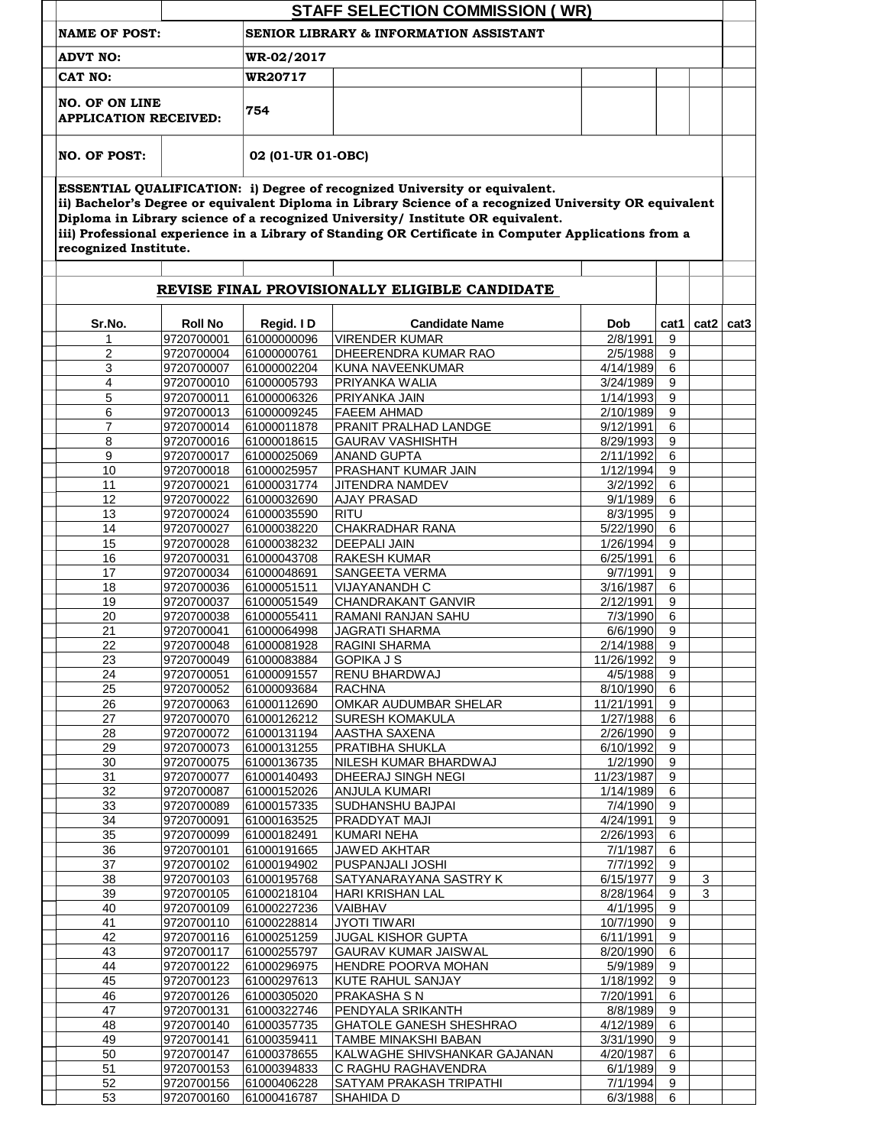| iii) Professional experience in a Library of Standing OR Certificate in Computer Applications from a<br>2/8/1991<br>2/5/1988<br>4/14/1989<br>3/24/1989 | cat1                                                                                                                                                                                                                                                                                                                                                             | ii) Bachelor's Degree or equivalent Diploma in Library Science of a recognized University OR equivalent |                  |
|--------------------------------------------------------------------------------------------------------------------------------------------------------|------------------------------------------------------------------------------------------------------------------------------------------------------------------------------------------------------------------------------------------------------------------------------------------------------------------------------------------------------------------|---------------------------------------------------------------------------------------------------------|------------------|
|                                                                                                                                                        |                                                                                                                                                                                                                                                                                                                                                                  |                                                                                                         |                  |
|                                                                                                                                                        |                                                                                                                                                                                                                                                                                                                                                                  |                                                                                                         |                  |
|                                                                                                                                                        |                                                                                                                                                                                                                                                                                                                                                                  |                                                                                                         |                  |
|                                                                                                                                                        |                                                                                                                                                                                                                                                                                                                                                                  |                                                                                                         |                  |
|                                                                                                                                                        |                                                                                                                                                                                                                                                                                                                                                                  |                                                                                                         |                  |
|                                                                                                                                                        |                                                                                                                                                                                                                                                                                                                                                                  |                                                                                                         |                  |
|                                                                                                                                                        |                                                                                                                                                                                                                                                                                                                                                                  |                                                                                                         |                  |
|                                                                                                                                                        | 9                                                                                                                                                                                                                                                                                                                                                                | cat2                                                                                                    | cat <sub>3</sub> |
|                                                                                                                                                        | 9                                                                                                                                                                                                                                                                                                                                                                |                                                                                                         |                  |
|                                                                                                                                                        | 6                                                                                                                                                                                                                                                                                                                                                                |                                                                                                         |                  |
|                                                                                                                                                        | 9                                                                                                                                                                                                                                                                                                                                                                |                                                                                                         |                  |
| 1/14/1993                                                                                                                                              | 9                                                                                                                                                                                                                                                                                                                                                                |                                                                                                         |                  |
| 2/10/1989                                                                                                                                              | 9                                                                                                                                                                                                                                                                                                                                                                |                                                                                                         |                  |
| 9/12/1991                                                                                                                                              | 6                                                                                                                                                                                                                                                                                                                                                                |                                                                                                         |                  |
| 8/29/1993                                                                                                                                              | 9                                                                                                                                                                                                                                                                                                                                                                |                                                                                                         |                  |
| 2/11/1992<br>1/12/1994                                                                                                                                 | 6<br>9                                                                                                                                                                                                                                                                                                                                                           |                                                                                                         |                  |
| 3/2/1992                                                                                                                                               | 6                                                                                                                                                                                                                                                                                                                                                                |                                                                                                         |                  |
| 9/1/1989                                                                                                                                               | 6                                                                                                                                                                                                                                                                                                                                                                |                                                                                                         |                  |
| 8/3/1995                                                                                                                                               | 9                                                                                                                                                                                                                                                                                                                                                                |                                                                                                         |                  |
| 5/22/1990                                                                                                                                              | 6                                                                                                                                                                                                                                                                                                                                                                |                                                                                                         |                  |
| 1/26/1994                                                                                                                                              | 9                                                                                                                                                                                                                                                                                                                                                                |                                                                                                         |                  |
| 6/25/1991                                                                                                                                              | 6                                                                                                                                                                                                                                                                                                                                                                |                                                                                                         |                  |
| 9/7/1991                                                                                                                                               | 9                                                                                                                                                                                                                                                                                                                                                                |                                                                                                         |                  |
| 3/16/1987                                                                                                                                              | 6                                                                                                                                                                                                                                                                                                                                                                |                                                                                                         |                  |
| 2/12/1991                                                                                                                                              | 9                                                                                                                                                                                                                                                                                                                                                                |                                                                                                         |                  |
| 7/3/1990<br>6/6/1990                                                                                                                                   | 6<br>9                                                                                                                                                                                                                                                                                                                                                           |                                                                                                         |                  |
| 2/14/1988                                                                                                                                              | 9                                                                                                                                                                                                                                                                                                                                                                |                                                                                                         |                  |
| 11/26/1992                                                                                                                                             | 9                                                                                                                                                                                                                                                                                                                                                                |                                                                                                         |                  |
| 4/5/1988                                                                                                                                               | 9                                                                                                                                                                                                                                                                                                                                                                |                                                                                                         |                  |
| 8/10/1990                                                                                                                                              | 6                                                                                                                                                                                                                                                                                                                                                                |                                                                                                         |                  |
|                                                                                                                                                        | 9                                                                                                                                                                                                                                                                                                                                                                |                                                                                                         |                  |
|                                                                                                                                                        | 6                                                                                                                                                                                                                                                                                                                                                                |                                                                                                         |                  |
|                                                                                                                                                        | 9                                                                                                                                                                                                                                                                                                                                                                |                                                                                                         |                  |
|                                                                                                                                                        | 9                                                                                                                                                                                                                                                                                                                                                                |                                                                                                         |                  |
|                                                                                                                                                        |                                                                                                                                                                                                                                                                                                                                                                  |                                                                                                         |                  |
|                                                                                                                                                        |                                                                                                                                                                                                                                                                                                                                                                  |                                                                                                         |                  |
|                                                                                                                                                        |                                                                                                                                                                                                                                                                                                                                                                  |                                                                                                         |                  |
|                                                                                                                                                        |                                                                                                                                                                                                                                                                                                                                                                  |                                                                                                         |                  |
|                                                                                                                                                        |                                                                                                                                                                                                                                                                                                                                                                  |                                                                                                         |                  |
|                                                                                                                                                        | 6                                                                                                                                                                                                                                                                                                                                                                |                                                                                                         |                  |
|                                                                                                                                                        | 9                                                                                                                                                                                                                                                                                                                                                                |                                                                                                         |                  |
|                                                                                                                                                        | 9                                                                                                                                                                                                                                                                                                                                                                | 3                                                                                                       |                  |
|                                                                                                                                                        | 9                                                                                                                                                                                                                                                                                                                                                                | 3                                                                                                       |                  |
|                                                                                                                                                        | 9                                                                                                                                                                                                                                                                                                                                                                |                                                                                                         |                  |
|                                                                                                                                                        |                                                                                                                                                                                                                                                                                                                                                                  |                                                                                                         |                  |
|                                                                                                                                                        |                                                                                                                                                                                                                                                                                                                                                                  |                                                                                                         |                  |
|                                                                                                                                                        |                                                                                                                                                                                                                                                                                                                                                                  |                                                                                                         |                  |
|                                                                                                                                                        |                                                                                                                                                                                                                                                                                                                                                                  |                                                                                                         |                  |
|                                                                                                                                                        |                                                                                                                                                                                                                                                                                                                                                                  |                                                                                                         |                  |
|                                                                                                                                                        |                                                                                                                                                                                                                                                                                                                                                                  |                                                                                                         |                  |
|                                                                                                                                                        |                                                                                                                                                                                                                                                                                                                                                                  |                                                                                                         |                  |
|                                                                                                                                                        |                                                                                                                                                                                                                                                                                                                                                                  |                                                                                                         |                  |
|                                                                                                                                                        | 6                                                                                                                                                                                                                                                                                                                                                                |                                                                                                         |                  |
|                                                                                                                                                        | 9                                                                                                                                                                                                                                                                                                                                                                |                                                                                                         |                  |
|                                                                                                                                                        | 9                                                                                                                                                                                                                                                                                                                                                                |                                                                                                         |                  |
|                                                                                                                                                        | 6                                                                                                                                                                                                                                                                                                                                                                |                                                                                                         |                  |
|                                                                                                                                                        | 11/21/1991<br>1/27/1988<br>2/26/1990<br>6/10/1992<br>1/2/1990<br>11/23/1987<br>1/14/1989<br>7/4/1990<br>4/24/1991<br>2/26/1993<br>7/1/1987<br>7/7/1992<br>6/15/1977<br>8/28/1964<br>4/1/1995<br>10/7/1990<br>6/11/1991<br>8/20/1990<br>5/9/1989<br>1/18/1992<br>7/20/1991<br>8/8/1989<br>4/12/1989<br>3/31/1990<br>4/20/1987<br>6/1/1989<br>7/1/1994<br>6/3/1988 | 9<br>9<br>6<br>9<br>9<br>6<br>9<br>9<br>6<br>9<br>9<br>6<br>9<br>6<br>9                                 |                  |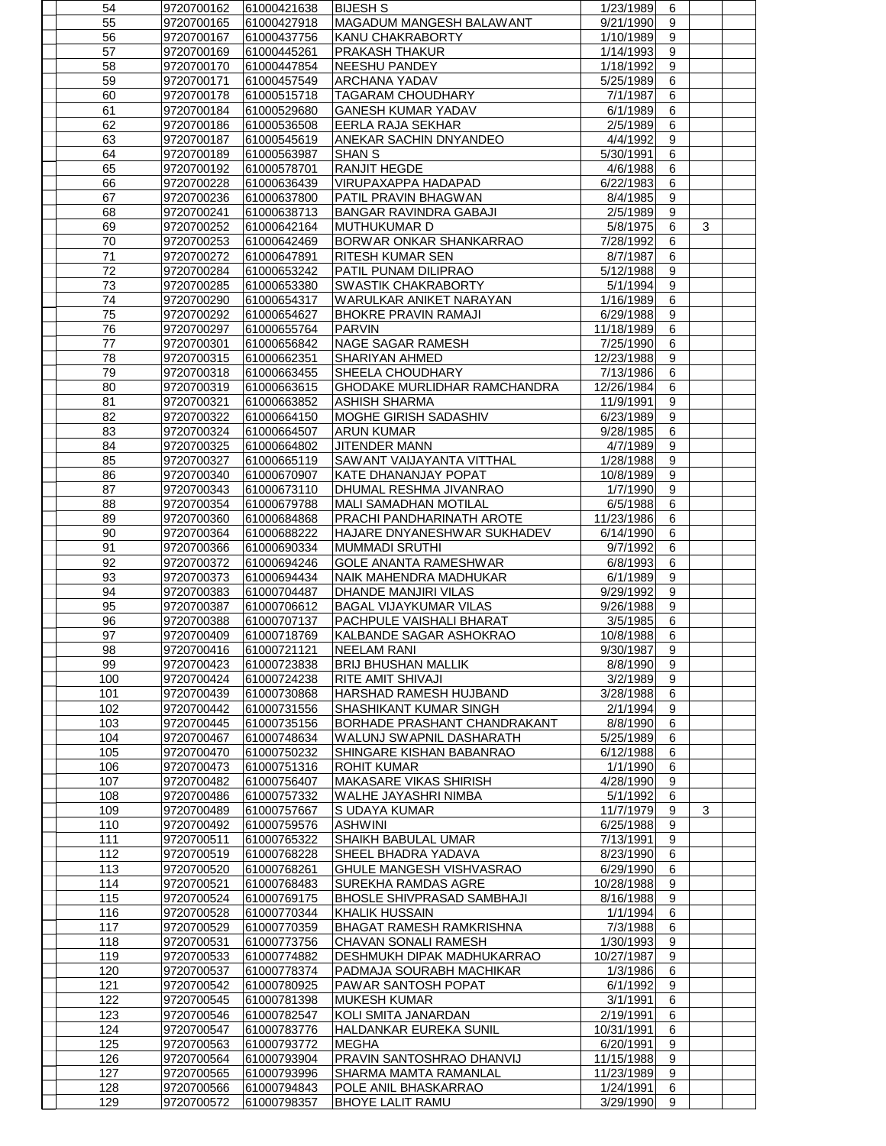| 54  | 9720700162 | 61000421638 | <b>BIJESH S</b>                     | 1/23/1989  | 6 |   |  |
|-----|------------|-------------|-------------------------------------|------------|---|---|--|
| 55  | 9720700165 | 61000427918 | <b>MAGADUM MANGESH BALAWANT</b>     | 9/21/1990  | 9 |   |  |
| 56  | 9720700167 | 61000437756 | <b>KANU CHAKRABORTY</b>             | 1/10/1989  | 9 |   |  |
| 57  |            |             |                                     |            | 9 |   |  |
|     | 9720700169 | 61000445261 | <b>PRAKASH THAKUR</b>               | 1/14/1993  |   |   |  |
| 58  | 9720700170 | 61000447854 | <b>NEESHU PANDEY</b>                | 1/18/1992  | 9 |   |  |
| 59  | 9720700171 | 61000457549 | <b>ARCHANA YADAV</b>                | 5/25/1989  | 6 |   |  |
| 60  | 9720700178 | 61000515718 | TAGARAM CHOUDHARY                   | 7/1/1987   | 6 |   |  |
| 61  | 9720700184 | 61000529680 | <b>GANESH KUMAR YADAV</b>           | 6/1/1989   | 6 |   |  |
| 62  | 9720700186 | 61000536508 | <b>EERLA RAJA SEKHAR</b>            | 2/5/1989   | 6 |   |  |
| 63  | 9720700187 | 61000545619 | ANEKAR SACHIN DNYANDEO              | 4/4/1992   | 9 |   |  |
| 64  | 9720700189 | 61000563987 | <b>SHAN S</b>                       | 5/30/1991  | 6 |   |  |
|     |            |             |                                     |            |   |   |  |
| 65  | 9720700192 | 61000578701 | <b>RANJIT HEGDE</b>                 | 4/6/1988   | 6 |   |  |
| 66  | 9720700228 | 61000636439 | <b>VIRUPAXAPPA HADAPAD</b>          | 6/22/1983  | 6 |   |  |
| 67  | 9720700236 | 61000637800 | <b>PATIL PRAVIN BHAGWAN</b>         | 8/4/1985   | 9 |   |  |
| 68  | 9720700241 | 61000638713 | <b>BANGAR RAVINDRA GABAJI</b>       | 2/5/1989   | 9 |   |  |
| 69  | 9720700252 | 61000642164 | <b>MUTHUKUMARD</b>                  | 5/8/1975   | 6 | 3 |  |
| 70  | 9720700253 | 61000642469 | <b>BORWAR ONKAR SHANKARRAO</b>      | 7/28/1992  | 6 |   |  |
| 71  | 9720700272 | 61000647891 | <b>RITESH KUMAR SEN</b>             | 8/7/1987   | 6 |   |  |
| 72  | 9720700284 | 61000653242 | PATIL PUNAM DILIPRAO                | 5/12/1988  | 9 |   |  |
| 73  | 9720700285 | 61000653380 | <b>SWASTIK CHAKRABORTY</b>          | 5/1/1994   | 9 |   |  |
| 74  | 9720700290 | 61000654317 | WARULKAR ANIKET NARAYAN             | 1/16/1989  | 6 |   |  |
|     |            |             |                                     |            |   |   |  |
| 75  | 9720700292 | 61000654627 | <b>BHOKRE PRAVIN RAMAJI</b>         | 6/29/1988  | 9 |   |  |
| 76  | 9720700297 | 61000655764 | <b>PARVIN</b>                       | 11/18/1989 | 6 |   |  |
| 77  | 9720700301 | 61000656842 | <b>NAGE SAGAR RAMESH</b>            | 7/25/1990  | 6 |   |  |
| 78  | 9720700315 | 61000662351 | <b>SHARIYAN AHMED</b>               | 12/23/1988 | 9 |   |  |
| 79  | 9720700318 | 61000663455 | <b>SHEELA CHOUDHARY</b>             | 7/13/1986  | 6 |   |  |
| 80  | 9720700319 | 61000663615 | <b>GHODAKE MURLIDHAR RAMCHANDRA</b> | 12/26/1984 | 6 |   |  |
| 81  | 9720700321 | 61000663852 | <b>ASHISH SHARMA</b>                | 11/9/1991  | 9 |   |  |
| 82  | 9720700322 | 61000664150 | <b>MOGHE GIRISH SADASHIV</b>        | 6/23/1989  | 9 |   |  |
| 83  | 9720700324 | 61000664507 | <b>ARUN KUMAR</b>                   | 9/28/1985  | 6 |   |  |
| 84  | 9720700325 | 61000664802 | JITENDER MANN                       | 4/7/1989   | 9 |   |  |
| 85  | 9720700327 | 61000665119 | SAWANT VAIJAYANTA VITTHAL           | 1/28/1988  | 9 |   |  |
|     |            |             |                                     |            |   |   |  |
| 86  | 9720700340 | 61000670907 | <b>KATE DHANANJAY POPAT</b>         | 10/8/1989  | 9 |   |  |
| 87  | 9720700343 | 61000673110 | DHUMAL RESHMA JIVANRAO              | 1/7/1990   | 9 |   |  |
| 88  | 9720700354 | 61000679788 | <b>MALI SAMADHAN MOTILAL</b>        | 6/5/1988   | 6 |   |  |
| 89  | 9720700360 | 61000684868 | <b>PRACHI PANDHARINATH AROTE</b>    | 11/23/1986 | 6 |   |  |
| 90  | 9720700364 | 61000688222 | HAJARE DNYANESHWAR SUKHADEV         | 6/14/1990  | 6 |   |  |
| 91  | 9720700366 | 61000690334 | <b>MUMMADI SRUTHI</b>               | 9/7/1992   | 6 |   |  |
| 92  | 9720700372 | 61000694246 | <b>GOLE ANANTA RAMESHWAR</b>        | 6/8/1993   | 6 |   |  |
| 93  | 9720700373 | 61000694434 | NAIK MAHENDRA MADHUKAR              | 6/1/1989   | 9 |   |  |
| 94  | 9720700383 | 61000704487 | <b>DHANDE MANJIRI VILAS</b>         | 9/29/1992  | 9 |   |  |
| 95  | 9720700387 | 61000706612 | <b>BAGAL VIJAYKUMAR VILAS</b>       | 9/26/1988  | 9 |   |  |
|     |            |             |                                     |            |   |   |  |
| 96  | 9720700388 | 61000707137 | PACHPULE VAISHALI BHARAT            | 3/5/1985   | 6 |   |  |
| 97  | 9720700409 | 61000718769 | KALBANDE SAGAR ASHOKRAO             | 10/8/1988  | 6 |   |  |
| 98  | 9720700416 | 61000721121 | <b>NEELAM RANI</b>                  | 9/30/1987  | 9 |   |  |
| 99  | 9720700423 | 61000723838 | <b>BRIJ BHUSHAN MALLIK</b>          | 8/8/1990   | 9 |   |  |
| 100 | 9720700424 | 61000724238 | RITE AMIT SHIVAJI                   | 3/2/1989   | 9 |   |  |
| 101 | 9720700439 | 61000730868 | <b>HARSHAD RAMESH HUJBAND</b>       | 3/28/1988  | 6 |   |  |
| 102 | 9720700442 | 61000731556 | SHASHIKANT KUMAR SINGH              | 2/1/1994   | 9 |   |  |
| 103 | 9720700445 | 61000735156 | <b>BORHADE PRASHANT CHANDRAKANT</b> | 8/8/1990   | 6 |   |  |
| 104 | 9720700467 | 61000748634 | <b>WALUNJ SWAPNIL DASHARATH</b>     | 5/25/1989  | 6 |   |  |
| 105 | 9720700470 | 61000750232 | SHINGARE KISHAN BABANRAO            | 6/12/1988  | 6 |   |  |
| 106 | 9720700473 | 61000751316 | <b>ROHIT KUMAR</b>                  | 1/1/1990   | 6 |   |  |
|     |            |             |                                     |            |   |   |  |
| 107 | 9720700482 | 61000756407 | <b>MAKASARE VIKAS SHIRISH</b>       | 4/28/1990  | 9 |   |  |
| 108 | 9720700486 | 61000757332 | <b>WALHE JAYASHRI NIMBA</b>         | 5/1/1992   | 6 |   |  |
| 109 | 9720700489 | 61000757667 | S UDAYA KUMAR                       | 11/7/1979  | 9 | 3 |  |
| 110 | 9720700492 | 61000759576 | <b>ASHWINI</b>                      | 6/25/1988  | 9 |   |  |
| 111 | 9720700511 | 61000765322 | <b>SHAIKH BABULAL UMAR</b>          | 7/13/1991  | 9 |   |  |
| 112 | 9720700519 | 61000768228 | SHEEL BHADRA YADAVA                 | 8/23/1990  | 6 |   |  |
| 113 | 9720700520 | 61000768261 | <b>GHULE MANGESH VISHVASRAO</b>     | 6/29/1990  | 6 |   |  |
| 114 | 9720700521 | 61000768483 | SUREKHA RAMDAS AGRE                 | 10/28/1988 | 9 |   |  |
| 115 | 9720700524 | 61000769175 | <b>BHOSLE SHIVPRASAD SAMBHAJI</b>   | 8/16/1988  | 9 |   |  |
| 116 | 9720700528 | 61000770344 | <b>KHALIK HUSSAIN</b>               | 1/1/1994   | 6 |   |  |
| 117 | 9720700529 | 61000770359 | <b>BHAGAT RAMESH RAMKRISHNA</b>     | 7/3/1988   | 6 |   |  |
| 118 | 9720700531 | 61000773756 | <b>CHAVAN SONALI RAMESH</b>         | 1/30/1993  | 9 |   |  |
|     |            |             |                                     |            |   |   |  |
| 119 | 9720700533 | 61000774882 | DESHMUKH DIPAK MADHUKARRAO          | 10/27/1987 | 9 |   |  |
| 120 | 9720700537 | 61000778374 | PADMAJA SOURABH MACHIKAR            | 1/3/1986   | 6 |   |  |
| 121 | 9720700542 | 61000780925 | PAWAR SANTOSH POPAT                 | 6/1/1992   | 9 |   |  |
| 122 | 9720700545 | 61000781398 | <b>MUKESH KUMAR</b>                 | 3/1/1991   | 6 |   |  |
| 123 | 9720700546 | 61000782547 | <b>KOLI SMITA JANARDAN</b>          | 2/19/1991  | 6 |   |  |
| 124 | 9720700547 | 61000783776 | <b>HALDANKAR EUREKA SUNIL</b>       | 10/31/1991 | 6 |   |  |
| 125 | 9720700563 | 61000793772 | <b>MEGHA</b>                        | 6/20/1991  | 9 |   |  |
| 126 | 9720700564 | 61000793904 | PRAVIN SANTOSHRAO DHANVIJ           | 11/15/1988 | 9 |   |  |
| 127 | 9720700565 | 61000793996 | SHARMA MAMTA RAMANLAL               | 11/23/1989 | 9 |   |  |
| 128 | 9720700566 | 61000794843 | POLE ANIL BHASKARRAO                | 1/24/1991  | 6 |   |  |
|     |            |             |                                     |            |   |   |  |
| 129 | 9720700572 | 61000798357 | <b>BHOYE LALIT RAMU</b>             | 3/29/1990  | 9 |   |  |